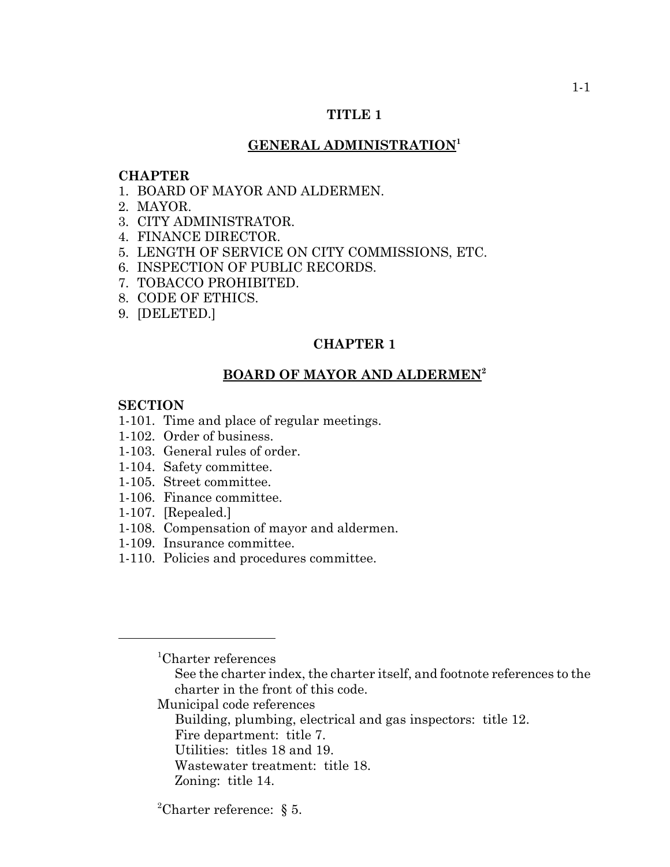#### **TITLE 1**

#### **GENERAL ADMINISTRATION<sup>1</sup>**

#### **CHAPTER**

- 1. BOARD OF MAYOR AND ALDERMEN.
- 2. MAYOR.
- 3. CITY ADMINISTRATOR.
- 4. FINANCE DIRECTOR.
- 5. LENGTH OF SERVICE ON CITY COMMISSIONS, ETC.
- 6. INSPECTION OF PUBLIC RECORDS.
- 7. TOBACCO PROHIBITED.
- 8. CODE OF ETHICS.
- 9. [DELETED.]

#### **CHAPTER 1**

# **BOARD OF MAYOR AND ALDERMEN<sup>2</sup>**

#### **SECTION**

- 1-101. Time and place of regular meetings.
- 1-102. Order of business.
- 1-103. General rules of order.
- 1-104. Safety committee.
- 1-105. Street committee.
- 1-106. Finance committee.
- 1-107. [Repealed.]
- 1-108. Compensation of mayor and aldermen.
- 1-109. Insurance committee.
- 1-110. Policies and procedures committee.

- See the charter index, the charter itself, and footnote references to the charter in the front of this code.
- Municipal code references
	- Building, plumbing, electrical and gas inspectors: title 12.
	- Fire department: title 7.
	- Utilities: titles 18 and 19.
	- Wastewater treatment: title 18.
	- Zoning: title 14.
- <sup>2</sup>Charter reference:  $\S$  5.

<sup>1</sup> Charter references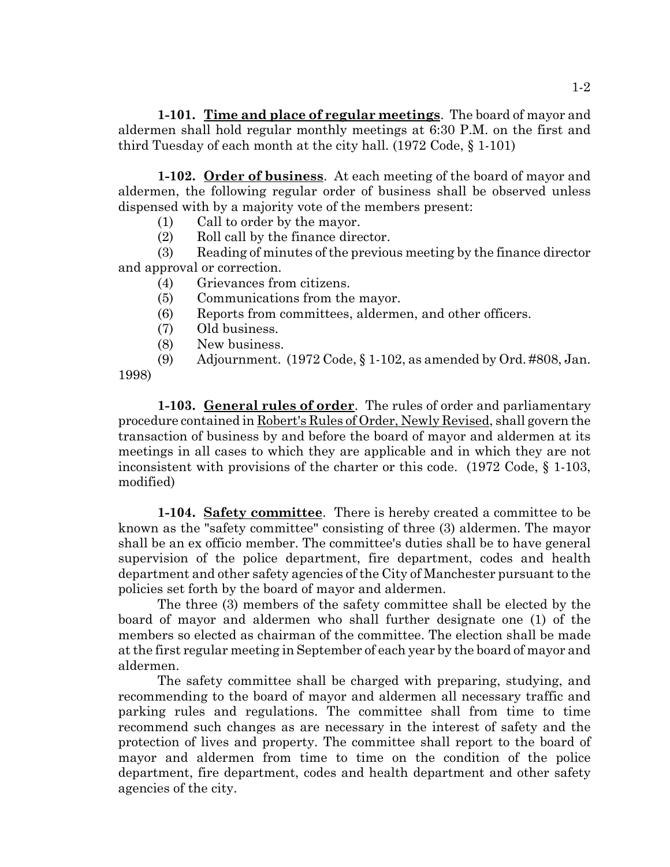**1-101. Time and place of regular meetings**. The board of mayor and aldermen shall hold regular monthly meetings at 6:30 P.M. on the first and third Tuesday of each month at the city hall. (1972 Code, § 1-101)

**1-102. Order of business**. At each meeting of the board of mayor and aldermen, the following regular order of business shall be observed unless dispensed with by a majority vote of the members present:

- (1) Call to order by the mayor.
- (2) Roll call by the finance director.

(3) Reading of minutes of the previous meeting by the finance director and approval or correction.

- (4) Grievances from citizens.
- (5) Communications from the mayor.
- (6) Reports from committees, aldermen, and other officers.
- (7) Old business.
- (8) New business.
- (9) Adjournment. (1972 Code, § 1-102, as amended by Ord. #808, Jan.

1998)

**1-103. General rules of order**. The rules of order and parliamentary procedure contained in Robert's Rules of Order, Newly Revised, shall govern the transaction of business by and before the board of mayor and aldermen at its meetings in all cases to which they are applicable and in which they are not inconsistent with provisions of the charter or this code. (1972 Code, § 1-103, modified)

**1-104. Safety committee**. There is hereby created a committee to be known as the "safety committee" consisting of three (3) aldermen. The mayor shall be an ex officio member. The committee's duties shall be to have general supervision of the police department, fire department, codes and health department and other safety agencies of the City of Manchester pursuant to the policies set forth by the board of mayor and aldermen.

The three (3) members of the safety committee shall be elected by the board of mayor and aldermen who shall further designate one (1) of the members so elected as chairman of the committee. The election shall be made at the first regular meeting in September of each year by the board of mayor and aldermen.

The safety committee shall be charged with preparing, studying, and recommending to the board of mayor and aldermen all necessary traffic and parking rules and regulations. The committee shall from time to time recommend such changes as are necessary in the interest of safety and the protection of lives and property. The committee shall report to the board of mayor and aldermen from time to time on the condition of the police department, fire department, codes and health department and other safety agencies of the city.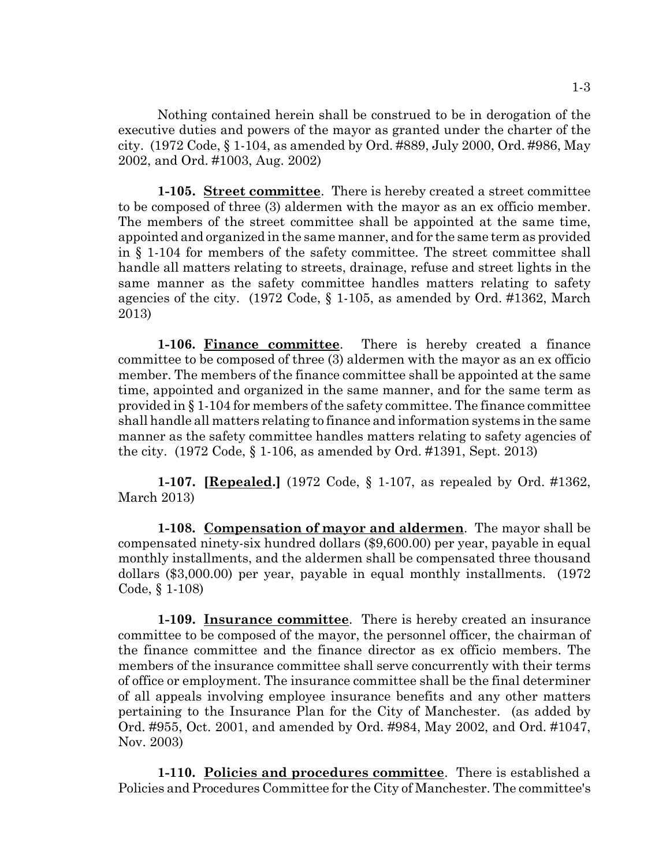Nothing contained herein shall be construed to be in derogation of the executive duties and powers of the mayor as granted under the charter of the city. (1972 Code, § 1-104, as amended by Ord. #889, July 2000, Ord. #986, May 2002, and Ord. #1003, Aug. 2002)

**1-105. Street committee**. There is hereby created a street committee to be composed of three (3) aldermen with the mayor as an ex officio member. The members of the street committee shall be appointed at the same time, appointed and organized in the same manner, and for the same term as provided in § 1-104 for members of the safety committee. The street committee shall handle all matters relating to streets, drainage, refuse and street lights in the same manner as the safety committee handles matters relating to safety agencies of the city. (1972 Code, § 1-105, as amended by Ord. #1362, March 2013)

**1-106. Finance committee**. There is hereby created a finance committee to be composed of three (3) aldermen with the mayor as an ex officio member. The members of the finance committee shall be appointed at the same time, appointed and organized in the same manner, and for the same term as provided in § 1-104 for members of the safety committee. The finance committee shall handle all matters relating to finance and information systems in the same manner as the safety committee handles matters relating to safety agencies of the city. (1972 Code, § 1-106, as amended by Ord. #1391, Sept. 2013)

**1-107. [Repealed.]** (1972 Code, § 1-107, as repealed by Ord. #1362, March 2013)

**1-108. Compensation of mayor and aldermen**. The mayor shall be compensated ninety-six hundred dollars (\$9,600.00) per year, payable in equal monthly installments, and the aldermen shall be compensated three thousand dollars (\$3,000.00) per year, payable in equal monthly installments. (1972 Code, § 1-108)

**1-109. Insurance committee**. There is hereby created an insurance committee to be composed of the mayor, the personnel officer, the chairman of the finance committee and the finance director as ex officio members. The members of the insurance committee shall serve concurrently with their terms of office or employment. The insurance committee shall be the final determiner of all appeals involving employee insurance benefits and any other matters pertaining to the Insurance Plan for the City of Manchester. (as added by Ord. #955, Oct. 2001, and amended by Ord. #984, May 2002, and Ord. #1047, Nov. 2003)

**1-110. Policies and procedures committee**. There is established a Policies and Procedures Committee for the City of Manchester. The committee's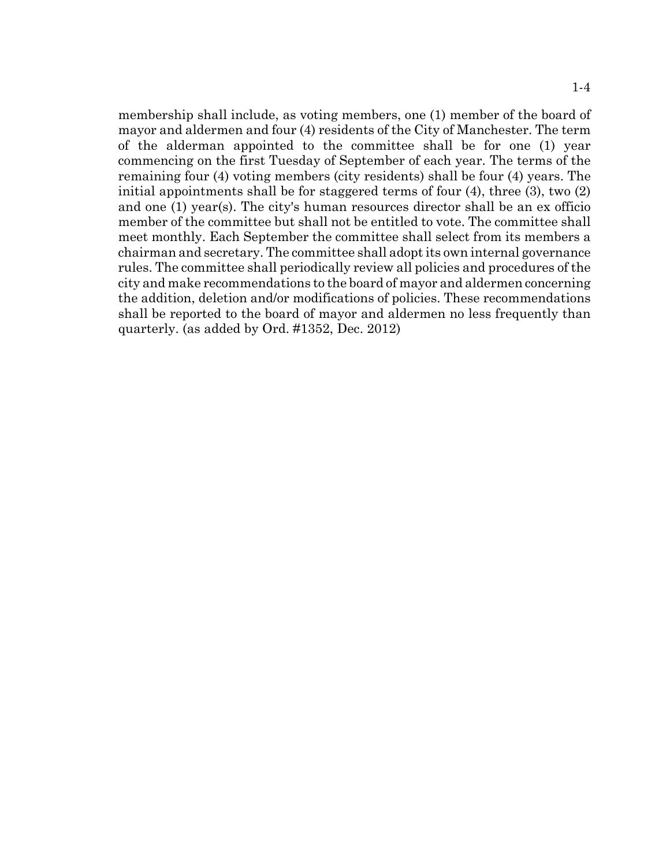membership shall include, as voting members, one (1) member of the board of mayor and aldermen and four (4) residents of the City of Manchester. The term of the alderman appointed to the committee shall be for one (1) year commencing on the first Tuesday of September of each year. The terms of the remaining four (4) voting members (city residents) shall be four (4) years. The initial appointments shall be for staggered terms of four (4), three (3), two (2) and one (1) year(s). The city's human resources director shall be an ex officio member of the committee but shall not be entitled to vote. The committee shall meet monthly. Each September the committee shall select from its members a chairman and secretary. The committee shall adopt its own internal governance rules. The committee shall periodically review all policies and procedures of the city and make recommendations to the board of mayor and aldermen concerning the addition, deletion and/or modifications of policies. These recommendations shall be reported to the board of mayor and aldermen no less frequently than quarterly. (as added by Ord. #1352, Dec. 2012)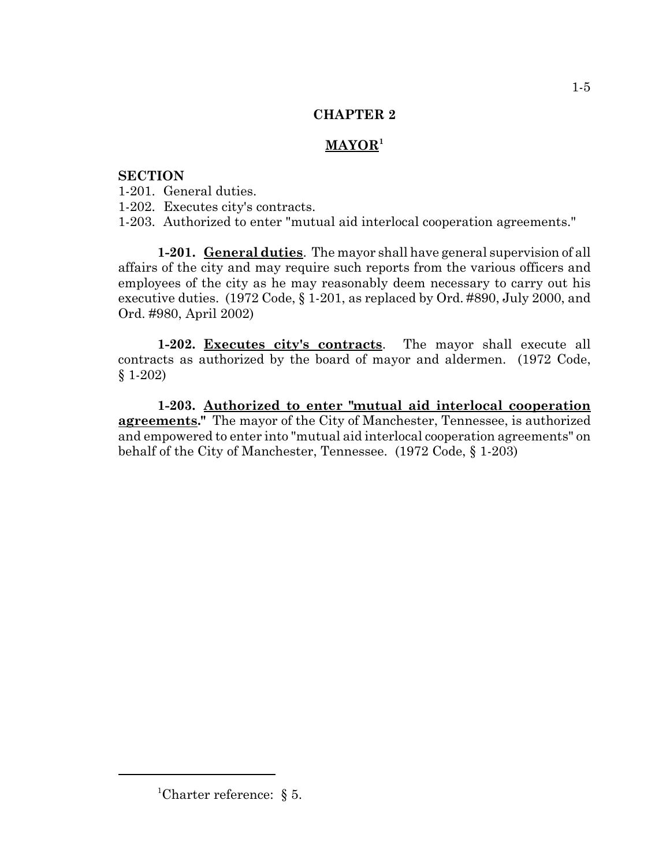# **MAYOR<sup>1</sup>**

# **SECTION**

1-201. General duties.

1-202. Executes city's contracts.

1-203. Authorized to enter "mutual aid interlocal cooperation agreements."

**1-201. General duties**. The mayor shall have general supervision of all affairs of the city and may require such reports from the various officers and employees of the city as he may reasonably deem necessary to carry out his executive duties. (1972 Code, § 1-201, as replaced by Ord. #890, July 2000, and Ord. #980, April 2002)

**1-202. Executes city's contracts**. The mayor shall execute all contracts as authorized by the board of mayor and aldermen. (1972 Code, § 1-202)

**1-203. Authorized to enter "mutual aid interlocal cooperation agreements."** The mayor of the City of Manchester, Tennessee, is authorized and empowered to enter into "mutual aid interlocal cooperation agreements" on behalf of the City of Manchester, Tennessee. (1972 Code, § 1-203)

<sup>&</sup>lt;sup>1</sup>Charter reference:  $\S$  5.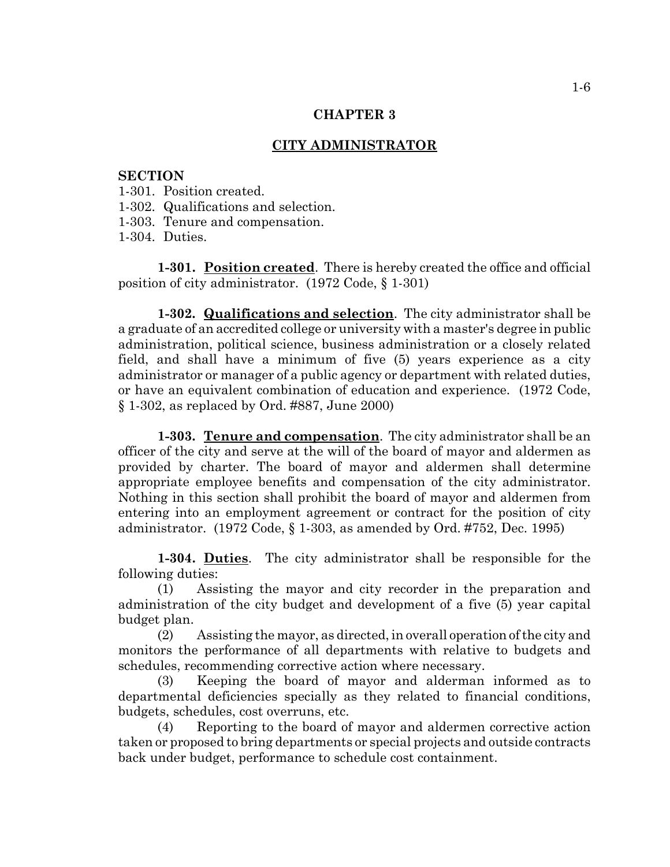## **CITY ADMINISTRATOR**

#### **SECTION**

- 1-301. Position created.
- 1-302. Qualifications and selection.
- 1-303. Tenure and compensation.
- 1-304. Duties.

**1-301. Position created**. There is hereby created the office and official position of city administrator. (1972 Code, § 1-301)

**1-302. Qualifications and selection**. The city administrator shall be a graduate of an accredited college or university with a master's degree in public administration, political science, business administration or a closely related field, and shall have a minimum of five (5) years experience as a city administrator or manager of a public agency or department with related duties, or have an equivalent combination of education and experience. (1972 Code, § 1-302, as replaced by Ord. #887, June 2000)

**1-303. Tenure and compensation**. The city administrator shall be an officer of the city and serve at the will of the board of mayor and aldermen as provided by charter. The board of mayor and aldermen shall determine appropriate employee benefits and compensation of the city administrator. Nothing in this section shall prohibit the board of mayor and aldermen from entering into an employment agreement or contract for the position of city administrator. (1972 Code, § 1-303, as amended by Ord. #752, Dec. 1995)

**1-304. Duties**. The city administrator shall be responsible for the following duties:

(1) Assisting the mayor and city recorder in the preparation and administration of the city budget and development of a five (5) year capital budget plan.

(2) Assisting the mayor, as directed, in overall operation of the city and monitors the performance of all departments with relative to budgets and schedules, recommending corrective action where necessary.

(3) Keeping the board of mayor and alderman informed as to departmental deficiencies specially as they related to financial conditions, budgets, schedules, cost overruns, etc.

(4) Reporting to the board of mayor and aldermen corrective action taken or proposed to bring departments or special projects and outside contracts back under budget, performance to schedule cost containment.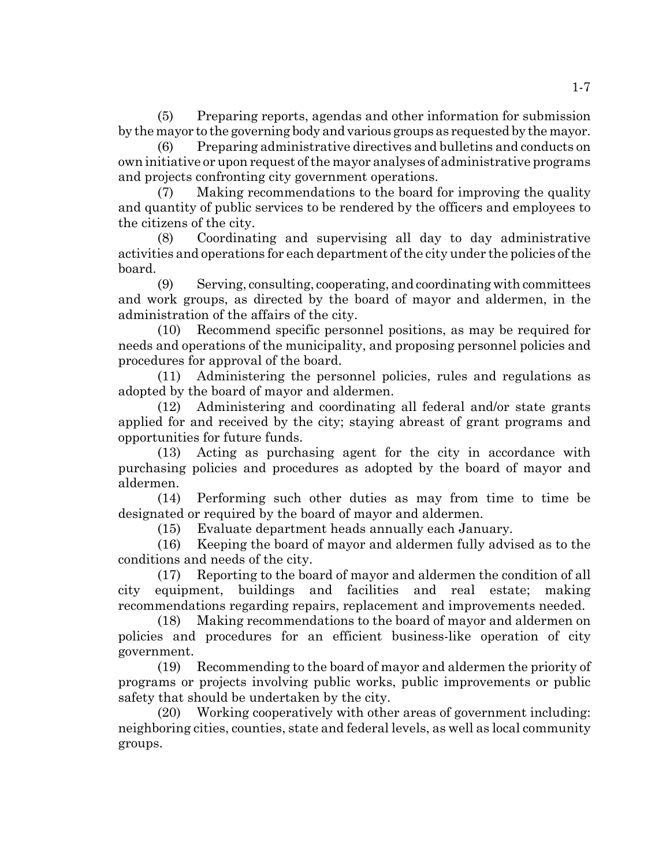(5) Preparing reports, agendas and other information for submission by the mayor to the governing body and various groups as requested by the mayor.

Preparing administrative directives and bulletins and conducts on own initiative or upon request of the mayor analyses of administrative programs and projects confronting city government operations.

(7) Making recommendations to the board for improving the quality and quantity of public services to be rendered by the officers and employees to the citizens of the city.

(8) Coordinating and supervising all day to day administrative activities and operations for each department of the city under the policies of the board.

(9) Serving, consulting, cooperating, and coordinating with committees and work groups, as directed by the board of mayor and aldermen, in the administration of the affairs of the city.

(10) Recommend specific personnel positions, as may be required for needs and operations of the municipality, and proposing personnel policies and procedures for approval of the board.

(11) Administering the personnel policies, rules and regulations as adopted by the board of mayor and aldermen.

(12) Administering and coordinating all federal and/or state grants applied for and received by the city; staying abreast of grant programs and opportunities for future funds.

(13) Acting as purchasing agent for the city in accordance with purchasing policies and procedures as adopted by the board of mayor and aldermen.

(14) Performing such other duties as may from time to time be designated or required by the board of mayor and aldermen.

(15) Evaluate department heads annually each January.

(16) Keeping the board of mayor and aldermen fully advised as to the conditions and needs of the city.

(17) Reporting to the board of mayor and aldermen the condition of all city equipment, buildings and facilities and real estate; making recommendations regarding repairs, replacement and improvements needed.

(18) Making recommendations to the board of mayor and aldermen on policies and procedures for an efficient business-like operation of city government.

(19) Recommending to the board of mayor and aldermen the priority of programs or projects involving public works, public improvements or public safety that should be undertaken by the city.

(20) Working cooperatively with other areas of government including: neighboring cities, counties, state and federal levels, as well as local community groups.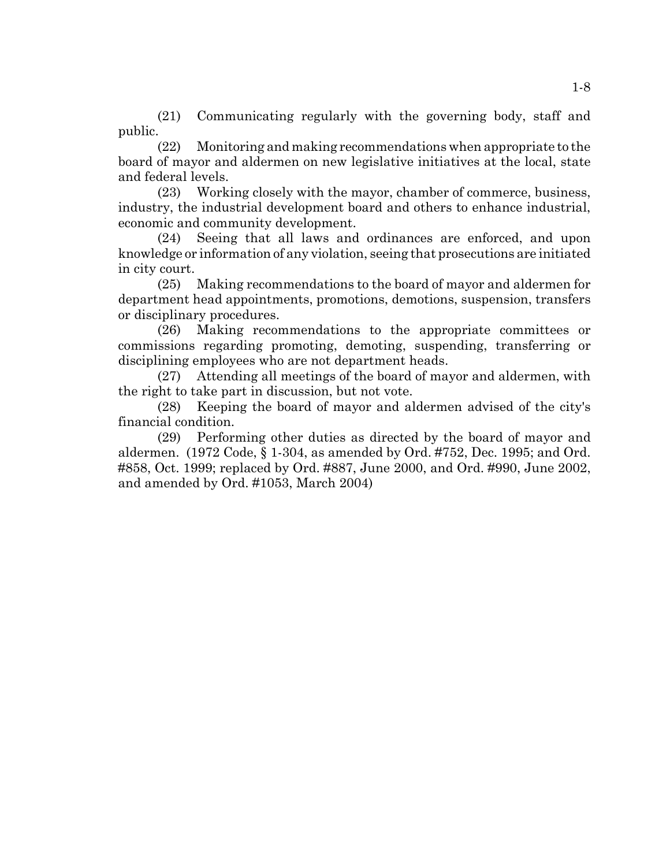(21) Communicating regularly with the governing body, staff and public.

(22) Monitoring and making recommendations when appropriate to the board of mayor and aldermen on new legislative initiatives at the local, state and federal levels.

(23) Working closely with the mayor, chamber of commerce, business, industry, the industrial development board and others to enhance industrial, economic and community development.

(24) Seeing that all laws and ordinances are enforced, and upon knowledge or information of any violation, seeing that prosecutions are initiated in city court.

(25) Making recommendations to the board of mayor and aldermen for department head appointments, promotions, demotions, suspension, transfers or disciplinary procedures.

(26) Making recommendations to the appropriate committees or commissions regarding promoting, demoting, suspending, transferring or disciplining employees who are not department heads.

(27) Attending all meetings of the board of mayor and aldermen, with the right to take part in discussion, but not vote.

(28) Keeping the board of mayor and aldermen advised of the city's financial condition.

(29) Performing other duties as directed by the board of mayor and aldermen. (1972 Code, § 1-304, as amended by Ord. #752, Dec. 1995; and Ord. #858, Oct. 1999; replaced by Ord. #887, June 2000, and Ord. #990, June 2002, and amended by Ord. #1053, March 2004)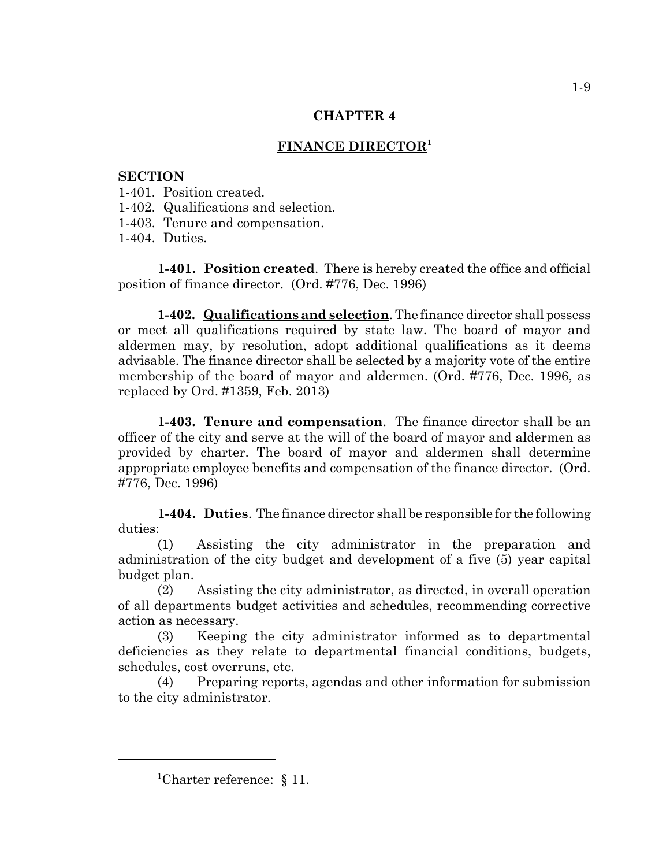# **FINANCE DIRECTOR1**

# **SECTION**

- 1-401. Position created.
- 1-402. Qualifications and selection.
- 1-403. Tenure and compensation.
- 1-404. Duties.

**1-401.** Position created. There is hereby created the office and official position of finance director. (Ord. #776, Dec. 1996)

**1-402. Qualifications and selection**. The finance director shall possess or meet all qualifications required by state law. The board of mayor and aldermen may, by resolution, adopt additional qualifications as it deems advisable. The finance director shall be selected by a majority vote of the entire membership of the board of mayor and aldermen. (Ord. #776, Dec. 1996, as replaced by Ord. #1359, Feb. 2013)

**1-403. Tenure and compensation**. The finance director shall be an officer of the city and serve at the will of the board of mayor and aldermen as provided by charter. The board of mayor and aldermen shall determine appropriate employee benefits and compensation of the finance director. (Ord. #776, Dec. 1996)

**1-404. Duties**. The finance director shall be responsible for the following duties:

(1) Assisting the city administrator in the preparation and administration of the city budget and development of a five (5) year capital budget plan.

(2) Assisting the city administrator, as directed, in overall operation of all departments budget activities and schedules, recommending corrective action as necessary.

(3) Keeping the city administrator informed as to departmental deficiencies as they relate to departmental financial conditions, budgets, schedules, cost overruns, etc.

(4) Preparing reports, agendas and other information for submission to the city administrator.

<sup>&</sup>lt;sup>1</sup>Charter reference:  $\S 11$ .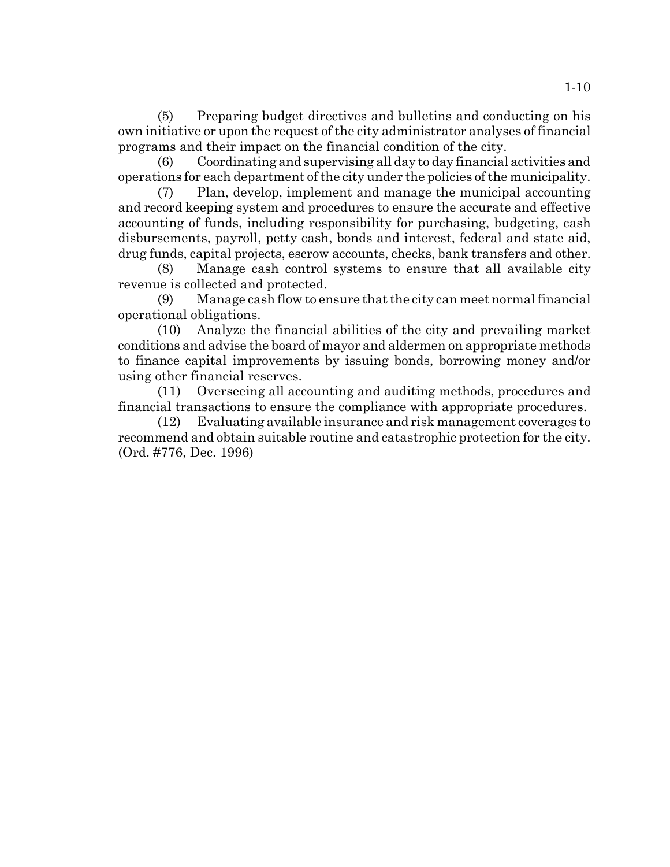(5) Preparing budget directives and bulletins and conducting on his own initiative or upon the request of the city administrator analyses of financial programs and their impact on the financial condition of the city.

(6) Coordinating and supervising all day to day financial activities and operations for each department of the city under the policies of the municipality.

(7) Plan, develop, implement and manage the municipal accounting and record keeping system and procedures to ensure the accurate and effective accounting of funds, including responsibility for purchasing, budgeting, cash disbursements, payroll, petty cash, bonds and interest, federal and state aid, drug funds, capital projects, escrow accounts, checks, bank transfers and other.

(8) Manage cash control systems to ensure that all available city revenue is collected and protected.

(9) Manage cash flow to ensure that the city can meet normal financial operational obligations.

(10) Analyze the financial abilities of the city and prevailing market conditions and advise the board of mayor and aldermen on appropriate methods to finance capital improvements by issuing bonds, borrowing money and/or using other financial reserves.

(11) Overseeing all accounting and auditing methods, procedures and financial transactions to ensure the compliance with appropriate procedures.

(12) Evaluating available insurance and risk management coverages to recommend and obtain suitable routine and catastrophic protection for the city. (Ord. #776, Dec. 1996)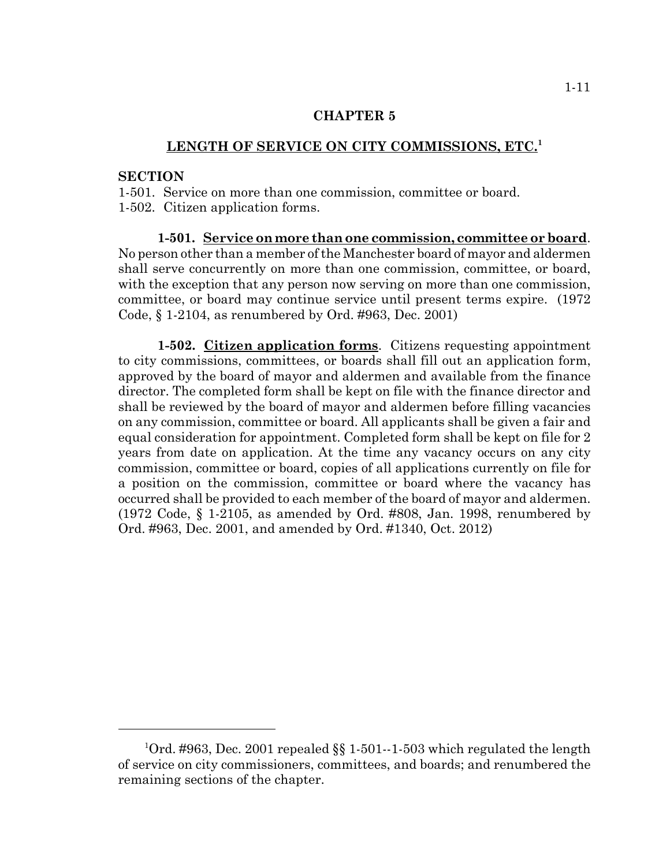# **LENGTH OF SERVICE ON CITY COMMISSIONS, ETC.<sup>1</sup>**

#### **SECTION**

1-501. Service on more than one commission, committee or board. 1-502. Citizen application forms.

**1-501. Service on more than one commission, committee or board**. No person other than a member of the Manchester board of mayor and aldermen shall serve concurrently on more than one commission, committee, or board, with the exception that any person now serving on more than one commission, committee, or board may continue service until present terms expire. (1972 Code, § 1-2104, as renumbered by Ord. #963, Dec. 2001)

**1-502. Citizen application forms**. Citizens requesting appointment to city commissions, committees, or boards shall fill out an application form, approved by the board of mayor and aldermen and available from the finance director. The completed form shall be kept on file with the finance director and shall be reviewed by the board of mayor and aldermen before filling vacancies on any commission, committee or board. All applicants shall be given a fair and equal consideration for appointment. Completed form shall be kept on file for 2 years from date on application. At the time any vacancy occurs on any city commission, committee or board, copies of all applications currently on file for a position on the commission, committee or board where the vacancy has occurred shall be provided to each member of the board of mayor and aldermen. (1972 Code, § 1-2105, as amended by Ord. #808, Jan. 1998, renumbered by Ord. #963, Dec. 2001, and amended by Ord. #1340, Oct. 2012)

<sup>&</sup>lt;sup>1</sup>Ord. #963, Dec. 2001 repealed §§ 1-501--1-503 which regulated the length of service on city commissioners, committees, and boards; and renumbered the remaining sections of the chapter.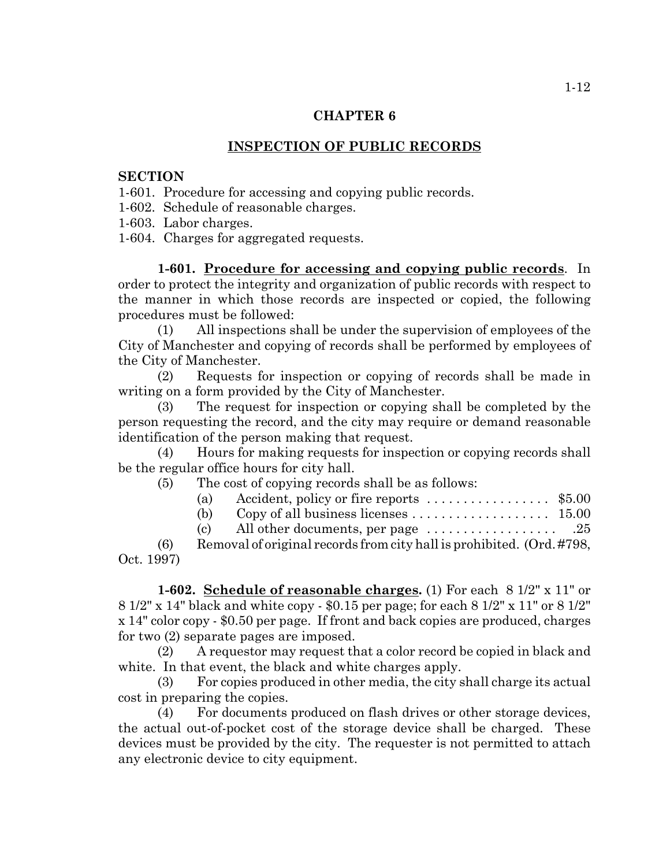## **INSPECTION OF PUBLIC RECORDS**

#### **SECTION**

1-601. Procedure for accessing and copying public records.

1-602. Schedule of reasonable charges.

1-603. Labor charges.

1-604. Charges for aggregated requests.

**1-601. Procedure for accessing and copying public records**. In order to protect the integrity and organization of public records with respect to the manner in which those records are inspected or copied, the following procedures must be followed:

(1) All inspections shall be under the supervision of employees of the City of Manchester and copying of records shall be performed by employees of the City of Manchester.

(2) Requests for inspection or copying of records shall be made in writing on a form provided by the City of Manchester.

(3) The request for inspection or copying shall be completed by the person requesting the record, and the city may require or demand reasonable identification of the person making that request.

(4) Hours for making requests for inspection or copying records shall be the regular office hours for city hall.

(5) The cost of copying records shall be as follows:

| (a) Accident, policy or fire reports $\dots \dots \dots \dots \dots$ \$5.00 |  |
|-----------------------------------------------------------------------------|--|
|                                                                             |  |

|--|--|

(c) All other documents, per page  $\dots \dots \dots \dots \dots$  .25

(6) Removal of original records from city hall is prohibited. (Ord. #798, Oct. 1997)

**1-602. Schedule of reasonable charges.** (1) For each 8 1/2" x 11" or 8 1/2" x 14" black and white copy - \$0.15 per page; for each 8 1/2" x 11" or 8 1/2" x 14" color copy - \$0.50 per page. If front and back copies are produced, charges for two (2) separate pages are imposed.

(2) A requestor may request that a color record be copied in black and white. In that event, the black and white charges apply.

(3) For copies produced in other media, the city shall charge its actual cost in preparing the copies.

(4) For documents produced on flash drives or other storage devices, the actual out-of-pocket cost of the storage device shall be charged. These devices must be provided by the city. The requester is not permitted to attach any electronic device to city equipment.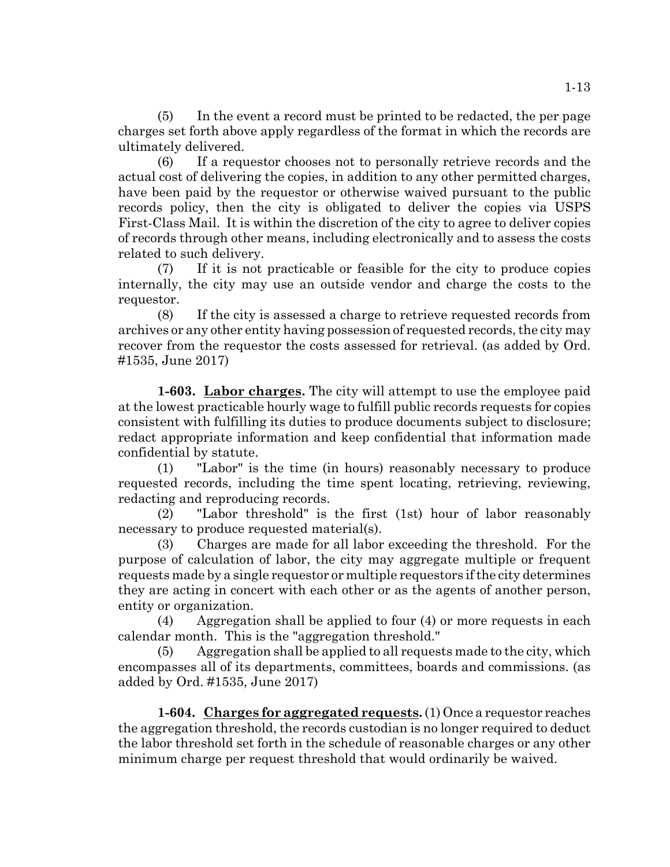(5) In the event a record must be printed to be redacted, the per page charges set forth above apply regardless of the format in which the records are ultimately delivered.

(6) If a requestor chooses not to personally retrieve records and the actual cost of delivering the copies, in addition to any other permitted charges, have been paid by the requestor or otherwise waived pursuant to the public records policy, then the city is obligated to deliver the copies via USPS First-Class Mail. It is within the discretion of the city to agree to deliver copies of records through other means, including electronically and to assess the costs related to such delivery.

(7) If it is not practicable or feasible for the city to produce copies internally, the city may use an outside vendor and charge the costs to the requestor.

(8) If the city is assessed a charge to retrieve requested records from archives or any other entity having possession of requested records, the city may recover from the requestor the costs assessed for retrieval. (as added by Ord. #1535, June 2017)

**1-603. Labor charges.** The city will attempt to use the employee paid at the lowest practicable hourly wage to fulfill public records requests for copies consistent with fulfilling its duties to produce documents subject to disclosure; redact appropriate information and keep confidential that information made confidential by statute.

(1) "Labor" is the time (in hours) reasonably necessary to produce requested records, including the time spent locating, retrieving, reviewing, redacting and reproducing records.

(2) "Labor threshold" is the first (1st) hour of labor reasonably necessary to produce requested material(s).

(3) Charges are made for all labor exceeding the threshold. For the purpose of calculation of labor, the city may aggregate multiple or frequent requests made by a single requestor or multiple requestors if the city determines they are acting in concert with each other or as the agents of another person, entity or organization.

(4) Aggregation shall be applied to four (4) or more requests in each calendar month. This is the "aggregation threshold."

(5) Aggregation shall be applied to all requests made to the city, which encompasses all of its departments, committees, boards and commissions. (as added by Ord. #1535, June 2017)

**1-604. Charges for aggregated requests.** (1) Once a requestor reaches the aggregation threshold, the records custodian is no longer required to deduct the labor threshold set forth in the schedule of reasonable charges or any other minimum charge per request threshold that would ordinarily be waived.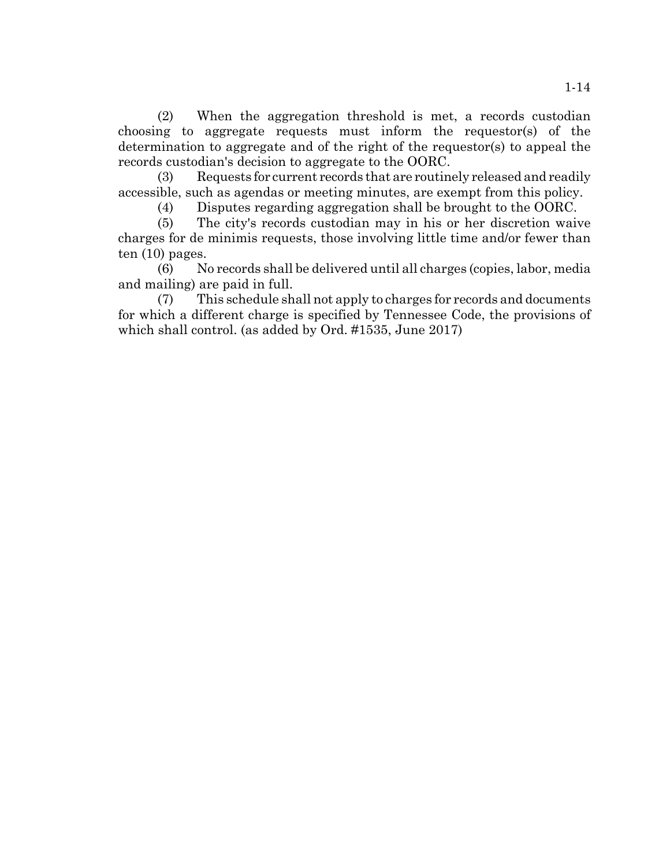(2) When the aggregation threshold is met, a records custodian choosing to aggregate requests must inform the requestor(s) of the determination to aggregate and of the right of the requestor(s) to appeal the records custodian's decision to aggregate to the OORC.

(3) Requests for current records that are routinely released and readily accessible, such as agendas or meeting minutes, are exempt from this policy.

(4) Disputes regarding aggregation shall be brought to the OORC.

(5) The city's records custodian may in his or her discretion waive charges for de minimis requests, those involving little time and/or fewer than ten (10) pages.

(6) No records shall be delivered until all charges (copies, labor, media and mailing) are paid in full.

(7) This schedule shall not apply to charges for records and documents for which a different charge is specified by Tennessee Code, the provisions of which shall control. (as added by Ord. #1535, June 2017)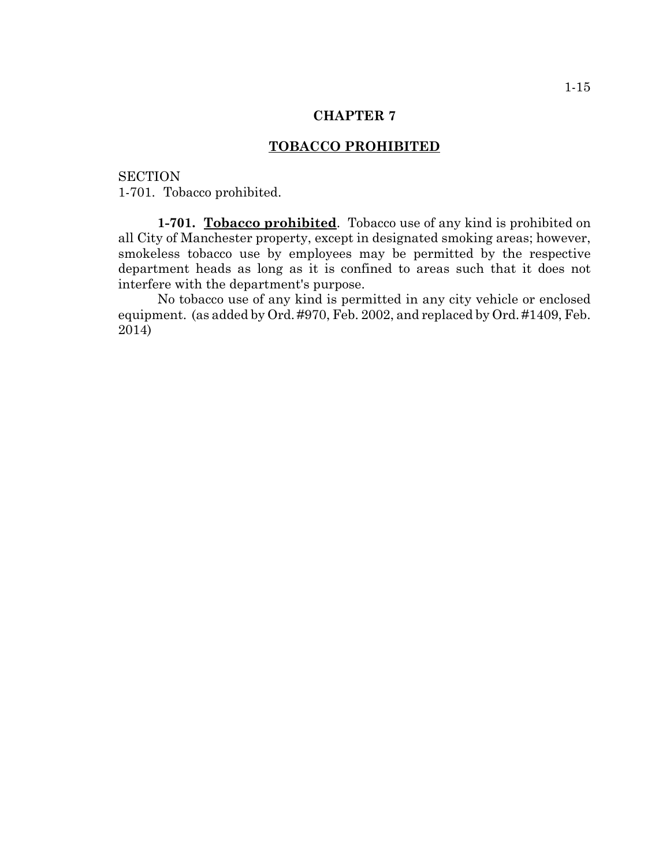## **TOBACCO PROHIBITED**

**SECTION** 1-701. Tobacco prohibited.

**1-701. Tobacco prohibited**. Tobacco use of any kind is prohibited on all City of Manchester property, except in designated smoking areas; however, smokeless tobacco use by employees may be permitted by the respective department heads as long as it is confined to areas such that it does not interfere with the department's purpose.

No tobacco use of any kind is permitted in any city vehicle or enclosed equipment. (as added by Ord. #970, Feb. 2002, and replaced by Ord. #1409, Feb. 2014)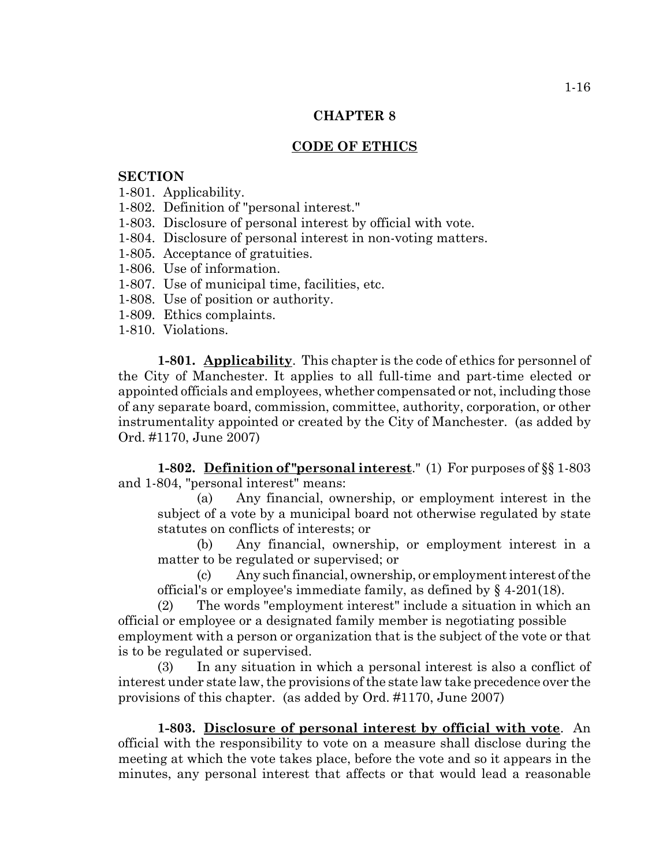# **CODE OF ETHICS**

# **SECTION**

- 1-801. Applicability.
- 1-802. Definition of "personal interest."
- 1-803. Disclosure of personal interest by official with vote.
- 1-804. Disclosure of personal interest in non-voting matters.
- 1-805. Acceptance of gratuities.
- 1-806. Use of information.
- 1-807. Use of municipal time, facilities, etc.
- 1-808. Use of position or authority.
- 1-809. Ethics complaints.
- 1-810. Violations.

**1-801. Applicability**. This chapter is the code of ethics for personnel of the City of Manchester. It applies to all full-time and part-time elected or appointed officials and employees, whether compensated or not, including those of any separate board, commission, committee, authority, corporation, or other instrumentality appointed or created by the City of Manchester. (as added by Ord. #1170, June 2007)

**1-802. Definition of "personal interest**." (1) For purposes of §§ 1-803 and 1-804, "personal interest" means:

(a) Any financial, ownership, or employment interest in the subject of a vote by a municipal board not otherwise regulated by state statutes on conflicts of interests; or

(b) Any financial, ownership, or employment interest in a matter to be regulated or supervised; or

(c) Any such financial, ownership, or employment interest of the official's or employee's immediate family, as defined by § 4-201(18).

(2) The words "employment interest" include a situation in which an official or employee or a designated family member is negotiating possible employment with a person or organization that is the subject of the vote or that is to be regulated or supervised.

(3) In any situation in which a personal interest is also a conflict of interest under state law, the provisions of the state law take precedence over the provisions of this chapter. (as added by Ord. #1170, June 2007)

**1-803. Disclosure of personal interest by official with vote**. An official with the responsibility to vote on a measure shall disclose during the meeting at which the vote takes place, before the vote and so it appears in the minutes, any personal interest that affects or that would lead a reasonable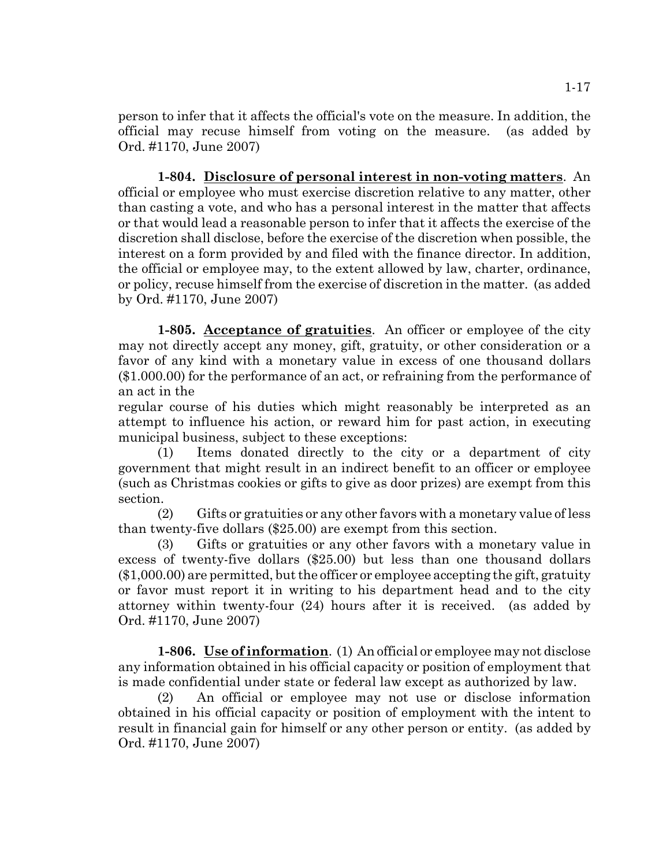person to infer that it affects the official's vote on the measure. In addition, the official may recuse himself from voting on the measure. (as added by Ord. #1170, June 2007)

**1-804. Disclosure of personal interest in non-voting matters**. An official or employee who must exercise discretion relative to any matter, other than casting a vote, and who has a personal interest in the matter that affects or that would lead a reasonable person to infer that it affects the exercise of the discretion shall disclose, before the exercise of the discretion when possible, the interest on a form provided by and filed with the finance director. In addition, the official or employee may, to the extent allowed by law, charter, ordinance, or policy, recuse himself from the exercise of discretion in the matter. (as added by Ord. #1170, June 2007)

**1-805. Acceptance of gratuities**. An officer or employee of the city may not directly accept any money, gift, gratuity, or other consideration or a favor of any kind with a monetary value in excess of one thousand dollars (\$1.000.00) for the performance of an act, or refraining from the performance of an act in the

regular course of his duties which might reasonably be interpreted as an attempt to influence his action, or reward him for past action, in executing municipal business, subject to these exceptions:

(1) Items donated directly to the city or a department of city government that might result in an indirect benefit to an officer or employee (such as Christmas cookies or gifts to give as door prizes) are exempt from this section.

(2) Gifts or gratuities or any other favors with a monetary value of less than twenty-five dollars (\$25.00) are exempt from this section.

(3) Gifts or gratuities or any other favors with a monetary value in excess of twenty-five dollars (\$25.00) but less than one thousand dollars (\$1,000.00) are permitted, but the officer or employee accepting the gift, gratuity or favor must report it in writing to his department head and to the city attorney within twenty-four (24) hours after it is received. (as added by Ord. #1170, June 2007)

**1-806. Use of information**. (1) An official or employee may not disclose any information obtained in his official capacity or position of employment that is made confidential under state or federal law except as authorized by law.

(2) An official or employee may not use or disclose information obtained in his official capacity or position of employment with the intent to result in financial gain for himself or any other person or entity. (as added by Ord. #1170, June 2007)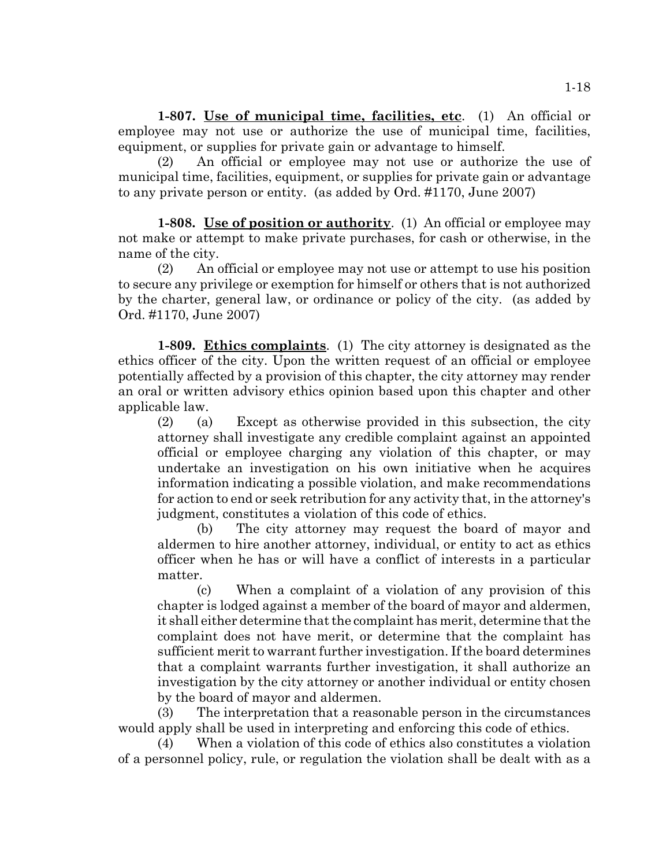**1-807. Use of municipal time, facilities, etc**. (1) An official or employee may not use or authorize the use of municipal time, facilities, equipment, or supplies for private gain or advantage to himself.

(2) An official or employee may not use or authorize the use of municipal time, facilities, equipment, or supplies for private gain or advantage to any private person or entity. (as added by Ord. #1170, June 2007)

**1-808. Use of position or authority**. (1) An official or employee may not make or attempt to make private purchases, for cash or otherwise, in the name of the city.

(2) An official or employee may not use or attempt to use his position to secure any privilege or exemption for himself or others that is not authorized by the charter, general law, or ordinance or policy of the city. (as added by Ord. #1170, June 2007)

**1-809. Ethics complaints**. (1) The city attorney is designated as the ethics officer of the city. Upon the written request of an official or employee potentially affected by a provision of this chapter, the city attorney may render an oral or written advisory ethics opinion based upon this chapter and other applicable law.

(2) (a) Except as otherwise provided in this subsection, the city attorney shall investigate any credible complaint against an appointed official or employee charging any violation of this chapter, or may undertake an investigation on his own initiative when he acquires information indicating a possible violation, and make recommendations for action to end or seek retribution for any activity that, in the attorney's judgment, constitutes a violation of this code of ethics.

(b) The city attorney may request the board of mayor and aldermen to hire another attorney, individual, or entity to act as ethics officer when he has or will have a conflict of interests in a particular matter.

(c) When a complaint of a violation of any provision of this chapter is lodged against a member of the board of mayor and aldermen, it shall either determine that the complaint has merit, determine that the complaint does not have merit, or determine that the complaint has sufficient merit to warrant further investigation. If the board determines that a complaint warrants further investigation, it shall authorize an investigation by the city attorney or another individual or entity chosen by the board of mayor and aldermen.

(3) The interpretation that a reasonable person in the circumstances would apply shall be used in interpreting and enforcing this code of ethics.

(4) When a violation of this code of ethics also constitutes a violation of a personnel policy, rule, or regulation the violation shall be dealt with as a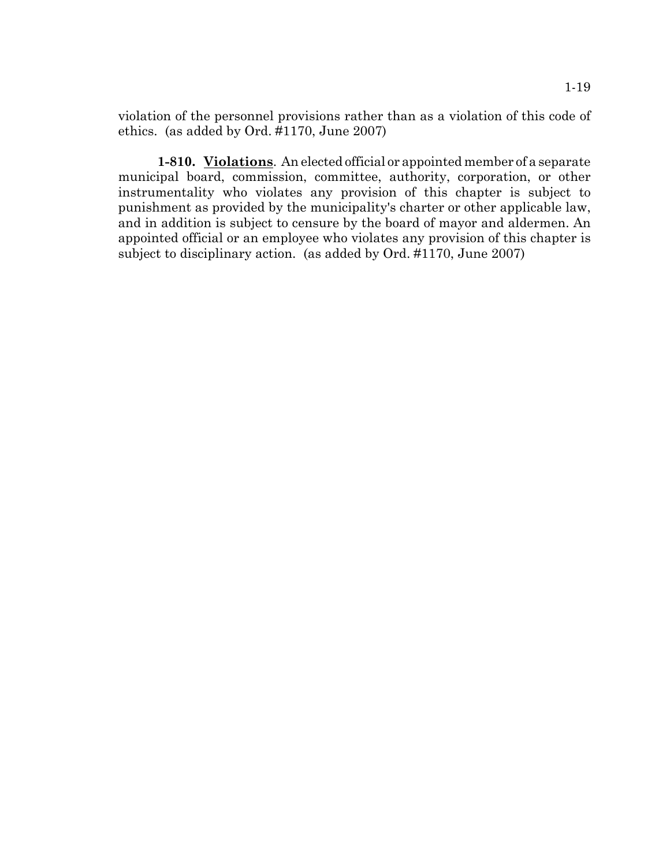violation of the personnel provisions rather than as a violation of this code of ethics. (as added by Ord. #1170, June 2007)

**1-810. Violations**. An elected official or appointed member of a separate municipal board, commission, committee, authority, corporation, or other instrumentality who violates any provision of this chapter is subject to punishment as provided by the municipality's charter or other applicable law, and in addition is subject to censure by the board of mayor and aldermen. An appointed official or an employee who violates any provision of this chapter is subject to disciplinary action. (as added by Ord. #1170, June 2007)